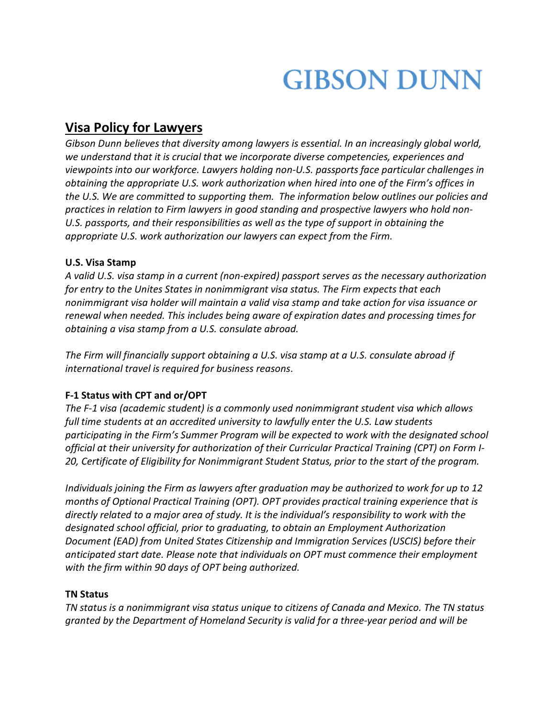# **GIBSON DUNN**

# **Visa Policy for Lawyers**

*Gibson Dunn believes that diversity among lawyers is essential. In an increasingly global world, we understand that it is crucial that we incorporate diverse competencies, experiences and viewpoints into our workforce. Lawyers holding non-U.S. passports face particular challenges in obtaining the appropriate U.S. work authorization when hired into one of the Firm's offices in the U.S. We are committed to supporting them. The information below outlines our policies and practices in relation to Firm lawyers in good standing and prospective lawyers who hold non-U.S. passports, and their responsibilities as well as the type of support in obtaining the appropriate U.S. work authorization our lawyers can expect from the Firm.*

## **U.S. Visa Stamp**

*A valid U.S. visa stamp in a current (non-expired) passport serves as the necessary authorization for entry to the Unites States in nonimmigrant visa status. The Firm expects that each nonimmigrant visa holder will maintain a valid visa stamp and take action for visa issuance or renewal when needed. This includes being aware of expiration dates and processing times for obtaining a visa stamp from a U.S. consulate abroad.*

*The Firm will financially support obtaining a U.S. visa stamp at a U.S. consulate abroad if international travel is required for business reasons*.

## **F-1 Status with CPT and or/OPT**

*The F-1 visa (academic student) is a commonly used nonimmigrant student visa which allows full time students at an accredited university to lawfully enter the U.S. Law students participating in the Firm's Summer Program will be expected to work with the designated school official at their university for authorization of their Curricular Practical Training (CPT) on Form I-20, Certificate of Eligibility for Nonimmigrant Student Status, prior to the start of the program.*

*Individuals joining the Firm as lawyers after graduation may be authorized to work for up to 12 months of Optional Practical Training (OPT). OPT provides practical training experience that is directly related to a major area of study. It is the individual's responsibility to work with the designated school official, prior to graduating, to obtain an Employment Authorization Document (EAD) from United States Citizenship and Immigration Services (USCIS) before their anticipated start date. Please note that individuals on OPT must commence their employment with the firm within 90 days of OPT being authorized.*

## **TN Status**

*TN status is a nonimmigrant visa status unique to citizens of Canada and Mexico. The TN status granted by the Department of Homeland Security is valid for a three-year period and will be*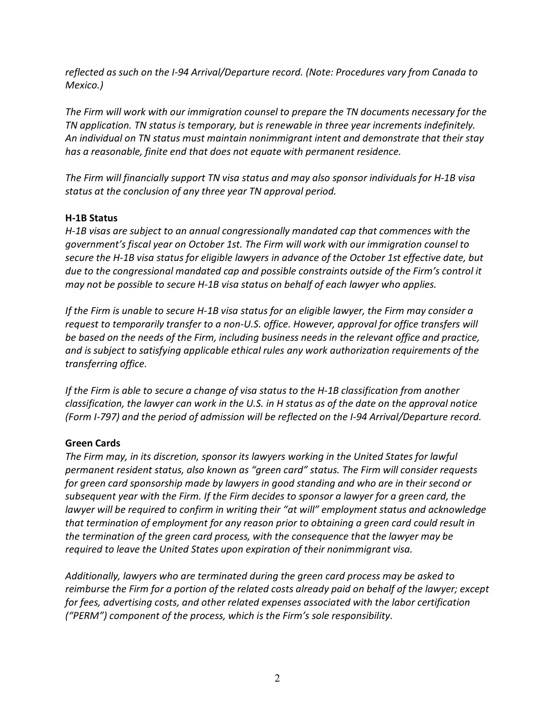*reflected as such on the I-94 Arrival/Departure record. (Note: Procedures vary from Canada to Mexico.)*

*The Firm will work with our immigration counsel to prepare the TN documents necessary for the TN application. TN status is temporary, but is renewable in three year increments indefinitely. An individual on TN status must maintain nonimmigrant intent and demonstrate that their stay has a reasonable, finite end that does not equate with permanent residence.*

*The Firm will financially support TN visa status and may also sponsor individuals for H-1B visa status at the conclusion of any three year TN approval period.*

## **H-1B Status**

*H-1B visas are subject to an annual congressionally mandated cap that commences with the government's fiscal year on October 1st. The Firm will work with our immigration counsel to secure the H-1B visa status for eligible lawyers in advance of the October 1st effective date, but due to the congressional mandated cap and possible constraints outside of the Firm's control it may not be possible to secure H-1B visa status on behalf of each lawyer who applies.*

*If the Firm is unable to secure H-1B visa status for an eligible lawyer, the Firm may consider a request to temporarily transfer to a non-U.S. office. However, approval for office transfers will be based on the needs of the Firm, including business needs in the relevant office and practice, and is subject to satisfying applicable ethical rules any work authorization requirements of the transferring office.*

*If the Firm is able to secure a change of visa status to the H-1B classification from another classification, the lawyer can work in the U.S. in H status as of the date on the approval notice (Form I-797) and the period of admission will be reflected on the I-94 Arrival/Departure record.*

# **Green Cards**

*The Firm may, in its discretion, sponsor its lawyers working in the United States for lawful permanent resident status, also known as "green card" status. The Firm will consider requests for green card sponsorship made by lawyers in good standing and who are in their second or subsequent year with the Firm. If the Firm decides to sponsor a lawyer for a green card, the lawyer will be required to confirm in writing their "at will" employment status and acknowledge that termination of employment for any reason prior to obtaining a green card could result in the termination of the green card process, with the consequence that the lawyer may be required to leave the United States upon expiration of their nonimmigrant visa.* 

*Additionally, lawyers who are terminated during the green card process may be asked to reimburse the Firm for a portion of the related costs already paid on behalf of the lawyer; except for fees, advertising costs, and other related expenses associated with the labor certification ("PERM") component of the process, which is the Firm's sole responsibility*.